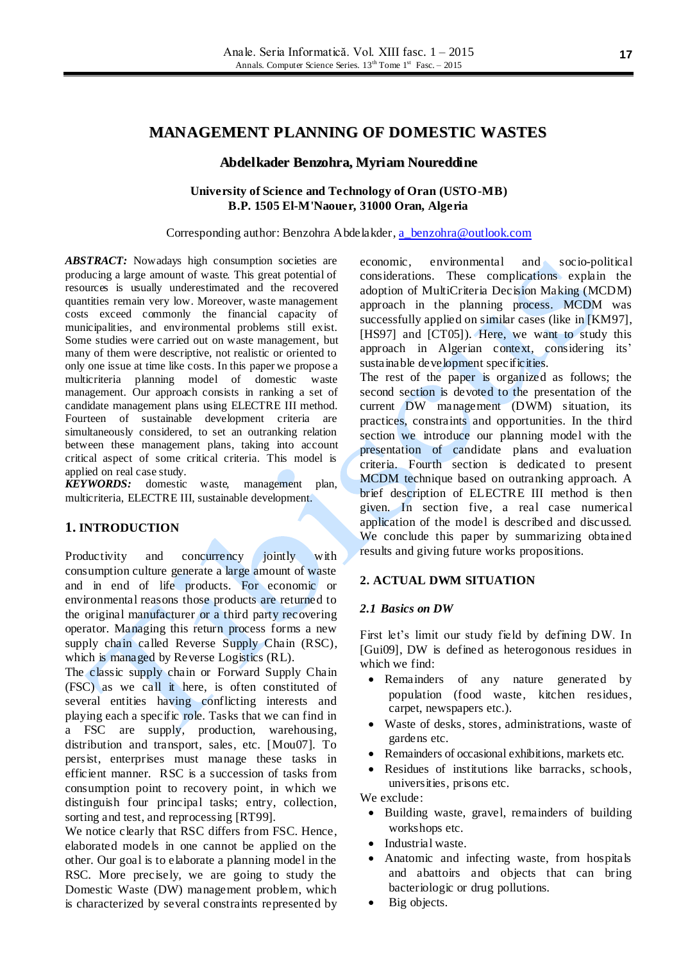#### **Abdelkader Benzohra, Myriam Noureddine**

#### **University of Science and Technology of Oran (USTO-MB) B.P. 1505 El-M'Naouer, 31000 Oran, Algeria**

Corresponding author: Benzohra Abdelakder[, a\\_benzohra@outlook.com](mailto:a_benzohra@outlook.com)

ABSTRACT: Nowadays high consumption societies are producing a large amount of waste. This great potential of resources is usually underestimated and the recovered quantities remain very low. Moreover, waste management costs exceed commonly the financial capacity of municipalities, and environmental problems still exist. Some studies were carried out on waste management, but many of them were descriptive, not realistic or oriented to only one issue at time like costs. In this paper we propose a multicriteria planning model of domestic waste management. Our approach consists in ranking a set of candidate management plans using ELECTRE III method. Fourteen of sustainable development criteria are simultaneously considered, to set an outranking relation between these management plans, taking into account critical aspect of some critical criteria. This model is applied on real case study.

*KEYWORDS:* domestic waste, management plan, multicriteria, ELECTRE III, sustainable development.

## **1. INTRODUCTION**

Productivity and concurrency jointly with consumption culture generate a large amount of waste and in end of life products. For economic or environmental reasons those products are returned to the original manufacturer or a third party recovering operator. Managing this return process forms a new supply chain called Reverse Supply Chain (RSC), which is managed by Reverse Logistics (RL).

The classic supply chain or Forward Supply Chain (FSC) as we call it here, is often constituted of several entities having conflicting interests and playing each a specific role. Tasks that we can find in a FSC are supply, production, warehousing, distribution and transport, sales, etc. [Mou07]. To persist, enterprises must manage these tasks in efficient manner. RSC is a succession of tasks from consumption point to recovery point, in which we distinguish four principal tasks; entry, collection, sorting and test, and reprocessing [RT99].

We notice clearly that RSC differs from FSC. Hence, elaborated models in one cannot be applied on the other. Our goal is to elaborate a planning model in the RSC. More precisely, we are going to study the Domestic Waste (DW) management problem, which is characterized by several constraints represented by economic, environmental and socio-political considerations. These complications explain the adoption of MultiCriteria Decision Making (MCDM) approach in the planning process. MCDM was successfully applied on similar cases (like in [KM97], [HS97] and [CT05]). Here, we want to study this approach in Algerian context, considering its' sustainable development specificities.

The rest of the paper is organized as follows; the second section is devoted to the presentation of the current DW management (DWM) situation, its practices, constraints and opportunities. In the third section we introduce our planning model with the presentation of candidate plans and evaluation criteria. Fourth section is dedicated to present MCDM technique based on outranking approach. A brief description of ELECTRE III method is then given. In section five, a real case numerical application of the model is described and discussed. We conclude this paper by summarizing obtained results and giving future works propositions.

### **2. ACTUAL DWM SITUATION**

#### *2.1 Basics on DW*

First let's limit our study field by defining DW. In [Gui09], DW is defined as heterogonous residues in which we find:

- Remainders of any nature generated by population (food waste, kitchen residues, carpet, newspapers etc.).
- Waste of desks, stores, administrations, waste of gardens etc.
- Remainders of occasional exhibitions, markets etc.
- Residues of institutions like barracks, schools, universities, prisons etc.

We exclude:

- Building waste, gravel, remainders of building workshops etc.
- Industrial waste.
- Anatomic and infecting waste, from hospitals and abattoirs and objects that can bring bacteriologic or drug pollutions.
- Big objects.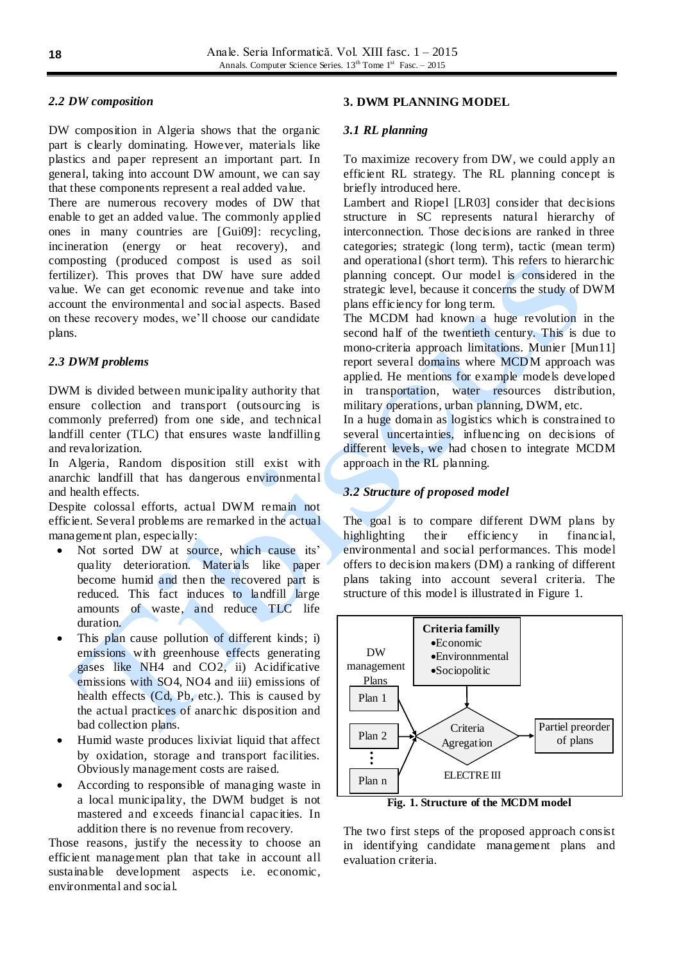# *2.2 DW composition*

DW composition in Algeria shows that the organic part is clearly dominating. However, materials like plastics and paper represent an important part. In general, taking into account DW amount, we can say that these components represent a real added value.

There are numerous recovery modes of DW that enable to get an added value. The commonly applied ones in many countries are [Gui09]: recycling, incineration (energy or heat recovery), and composting (produced compost is used as soil fertilizer). This proves that DW have sure added value. We can get economic revenue and take into account the environmental and social aspects. Based on these recovery modes, we'll choose our candidate plans.

# *2.3 DWM problems*

DWM is divided between municipality authority that ensure collection and transport (outsourcing is commonly preferred) from one side, and technical landfill center (TLC) that ensures waste landfilling and revalorization.

In Algeria, Random disposition still exist with anarchic landfill that has dangerous environmental and health effects.

Despite colossal efforts, actual DWM remain not efficient. Several problems are remarked in the actual management plan, especially:

- Not sorted DW at source, which cause its' quality deterioration. Materials like paper become humid and then the recovered part is reduced. This fact induces to landfill large amounts of waste, and reduce TLC life duration.
- This plan cause pollution of different kinds; i) emissions with greenhouse effects generating gases like NH4 and CO2, ii) Acidificative emissions with SO4, NO4 and iii) emissions of health effects (Cd, Pb, etc.). This is caused by the actual practices of anarchic disposition and bad collection plans.
- Humid waste produces lixiviat liquid that affect by oxidation, storage and transport facilities. Obviously management costs are raised.
- According to responsible of managing waste in a local municipality, the DWM budget is not mastered and exceeds financial capacities. In addition there is no revenue from recovery.

Those reasons, justify the necessity to choose an efficient management plan that take in account all sustainable development aspects i.e. economic, environmental and social.

## **3. DWM PLANNING MODEL**

### *3.1 RL planning*

To maximize recovery from DW, we could apply an efficient RL strategy. The RL planning concept is briefly introduced here.

Lambert and Riopel [LR03] consider that decisions structure in SC represents natural hierarchy of interconnection. Those decisions are ranked in three categories; strategic (long term), tactic (mean term) and operational (short term). This refers to hierarchic planning concept. Our model is considered in the strategic level, because it concerns the study of DWM plans efficiency for long term.

The MCDM had known a huge revolution in the second half of the twentieth century. This is due to mono-criteria approach limitations. Munier [Mun11] report several domains where MCDM approach was applied. He mentions for example models developed in transportation, water resources distribution, military operations, urban planning, DWM, etc.

In a huge domain as logistics which is constrained to several uncertainties, influencing on decisions of different levels, we had chosen to integrate MCDM approach in the RL planning.

## *3.2 Structure of proposed model*

The goal is to compare different DWM plans by highlighting their efficiency in financial, environmental and social performances. This model offers to decision makers (DM) a ranking of different plans taking into account several criteria. The structure of this model is illustrated in Figure 1.



**Fig. 1. Structure of the MCDM model** 

The two first steps of the proposed approach consist in identifying candidate management plans and evaluation criteria.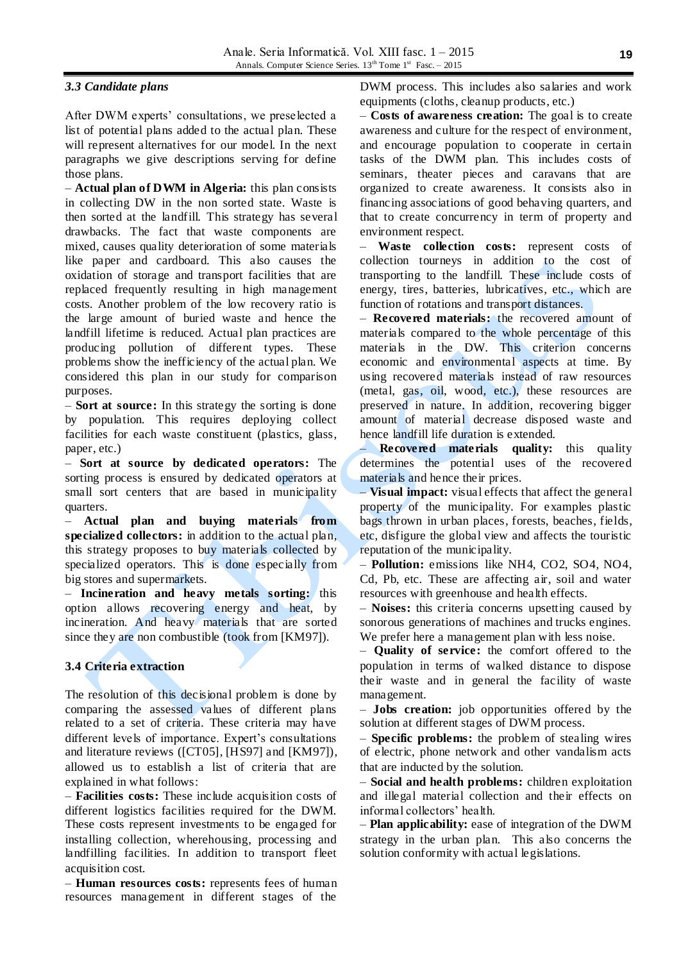### *3.3 Candidate plans*

After DWM experts' consultations, we preselected a list of potential plans added to the actual plan. These will represent alternatives for our model. In the next paragraphs we give descriptions serving for define those plans.

*–* **Actual plan of DWM in Algeria:** this plan consists in collecting DW in the non sorted state. Waste is then sorted at the landfill. This strategy has several drawbacks. The fact that waste components are mixed, causes quality deterioration of some materials like paper and cardboard. This also causes the oxidation of storage and transport facilities that are replaced frequently resulting in high management costs. Another problem of the low recovery ratio is the large amount of buried waste and hence the landfill lifetime is reduced. Actual plan practices are producing pollution of different types. These problems show the inefficiency of the actual plan. We considered this plan in our study for comparison purposes.

*–* **Sort at source:** In this strategy the sorting is done by population. This requires deploying collect facilities for each waste constituent (plastics, glass, paper, etc.)

– **Sort at source by dedicated operators:** The sorting process is ensured by dedicated operators at small sort centers that are based in municipality quarters.

– **Actual plan and buying materials from specialized collectors:** in addition to the actual plan, this strategy proposes to buy materials collected by specialized operators. This is done especially from big stores and supermarkets.

– **Incineration and heavy metals sorting:** this option allows recovering energy and heat, by incineration. And heavy materials that are sorted since they are non combustible (took from [KM97]).

## **3.4 Criteria extraction**

The resolution of this decisional problem is done by comparing the assessed values of different plans related to a set of criteria. These criteria may have different levels of importance. Expert's consultations and literature reviews ([CT05], [HS97] and [KM97]), allowed us to establish a list of criteria that are explained in what follows:

– **Facilities costs:** These include acquisition costs of different logistics facilities required for the DWM. These costs represent investments to be engaged for installing collection, wherehousing, processing and landfilling facilities. In addition to transport fleet acquisition cost.

– **Human resources costs:** represents fees of human resources management in different stages of the

DWM process. This includes also salaries and work equipments (cloths, cleanup products, etc.)

– **Costs of awareness creation:** The goal is to create awareness and culture for the respect of environment, and encourage population to cooperate in certain tasks of the DWM plan. This includes costs of seminars, theater pieces and caravans that are organized to create awareness. It consists also in financing associations of good behaving quarters, and that to create concurrency in term of property and environment respect.

– **Waste collection costs:** represent costs of collection tourneys in addition to the cost of transporting to the landfill. These include costs of energy, tires, batteries, lubricatives, etc., which are function of rotations and transport distances.

– **Recovered materials:** the recovered amount of materials compared to the whole percentage of this materials in the DW. This criterion concerns economic and environmental aspects at time. By using recovered materials instead of raw resources (metal, gas, oil, wood, etc.), these resources are preserved in nature. In addition, recovering bigger amount of material decrease disposed waste and hence landfill life duration is extended.

– **Recovered materials quality:** this quality determines the potential uses of the recovered materials and hence their prices.

– **Visual impact:** visual effects that affect the general property of the municipality. For examples plastic bags thrown in urban places, forests, beaches, fields, etc, disfigure the global view and affects the touristic reputation of the municipality.

– **Pollution:** emissions like NH4, CO2, SO4, NO4, Cd, Pb, etc. These are affecting air, soil and water resources with greenhouse and health effects.

– **Noises:** this criteria concerns upsetting caused by sonorous generations of machines and trucks engines. We prefer here a management plan with less noise.

– **Quality of service:** the comfort offered to the population in terms of walked distance to dispose their waste and in general the facility of waste management.

– **Jobs creation:** job opportunities offered by the solution at different stages of DWM process.

– **Specific problems:** the problem of stealing wires of electric, phone network and other vandalism acts that are inducted by the solution.

– **Social and health problems:** children exploitation and illegal material collection and their effects on informal collectors' health.

– **Plan applicability:** ease of integration of the DWM strategy in the urban plan. This also concerns the solution conformity with actual legislations.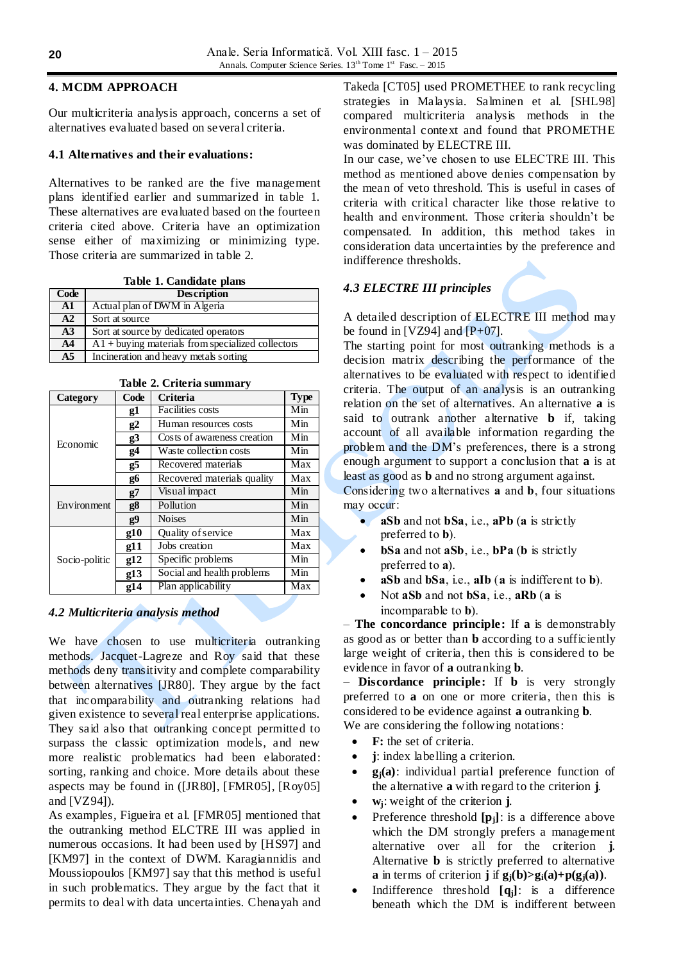## **4. MCDM APPROACH**

Our multicriteria analysis approach, concerns a set of alternatives evaluated based on several criteria.

# **4.1 Alternatives and their evaluations:**

Alternatives to be ranked are the five management plans identified earlier and summarized in table 1. These alternatives are evaluated based on the fourteen criteria cited above. Criteria have an optimization sense either of maximizing or minimizing type. Those criteria are summarized in table 2.

**Table 1. Candidate plans** 

| Code           | <b>Description</b>                                  |
|----------------|-----------------------------------------------------|
| $\mathbf{A1}$  | Actual plan of DWM in Algeria                       |
| A2             | Sort at source                                      |
| A <sub>3</sub> | Sort at source by dedicated operators               |
| A <sub>4</sub> | $A1 +$ buying materials from specialized collectors |
| A <sub>5</sub> | Incineration and heavy metals sorting               |

| Category      | Code       | <b>Criteria</b>             | <b>Type</b> |
|---------------|------------|-----------------------------|-------------|
|               | g1         | Facilities costs            | Min         |
|               | g2         | Human resources costs       | Min         |
| Economic      | g3         | Costs of awareness creation | Min         |
|               | <b>g4</b>  | Waste collection costs      | Min         |
|               | g5         | Recovered materials         | Max         |
|               | g6         | Recovered materials quality | Max         |
|               | g7         | Visual impact               | Min         |
| Environment   | <b>g8</b>  | Pollution                   | Min         |
|               | g9         | <b>Noises</b>               | Min         |
|               | g10        | Quality of service          | Max         |
|               | g11        | Jobs creation               | Max         |
| Socio-politic | g12        | Specific problems           | Min         |
|               | g13        | Social and health problems  | Min         |
|               | <u>o14</u> | Plan applicability          | Max         |

**Table 2. Criteria summary** 

# *4.2 Multicriteria analysis method*

We have chosen to use multicriteria outranking methods. Jacquet-Lagreze and Roy said that these methods deny transitivity and complete comparability between alternatives [JR80]. They argue by the fact that incomparability and outranking relations had given existence to several real enterprise applications. They said also that outranking concept permitted to surpass the classic optimization models, and new more realistic problematics had been elaborated: sorting, ranking and choice. More details about these aspects may be found in ([JR80], [FMR05], [Roy05] and [VZ94]).

As examples, Figueira et al. [FMR05] mentioned that the outranking method ELCTRE III was applied in numerous occasions. It had been used by [HS97] and [KM97] in the context of DWM. Karagiannidis and Moussiopoulos [KM97] say that this method is useful in such problematics. They argue by the fact that it permits to deal with data uncertainties. Chenayah and

Takeda [CT05] used PROMETHEE to rank recycling strategies in Malaysia. Salminen et al. [SHL98] compared multicriteria analysis methods in the environmental context and found that PROMETHE was dominated by ELECTRE III.

In our case, we've chosen to use ELECTRE III. This method as mentioned above denies compensation by the mean of veto threshold. This is useful in cases of criteria with critical character like those relative to health and environment. Those criteria shouldn't be compensated. In addition, this method takes in consideration data uncertainties by the preference and indifference thresholds.

# *4.3 ELECTRE III principles*

A detailed description of ELECTRE III method may be found in [VZ94] and  $[P+07]$ .

The starting point for most outranking methods is a decision matrix describing the performance of the alternatives to be evaluated with respect to identified criteria. The output of an analysis is an outranking relation on the set of alternatives. An alternative **a** is said to outrank another alternative **b** if, taking account of all available information regarding the problem and the DM's preferences, there is a strong enough argument to support a conclusion that **a** is at least as good as **b** and no strong argument against.

Considering two alternatives **a** and **b**, four situations may occur:

- **aSb** and not **bSa**, i.e., **aPb** (**a** is strictly preferred to **b**).
- **bSa** and not **aSb**, i.e., **bPa** (**b** is strictly preferred to **a**).
- **aSb** and **bSa**, i.e., **aIb** (**a** is indifferent to **b**).
- Not **aSb** and not **bSa**, i.e., **aRb** (**a** is incomparable to **b**).

– **The concordance principle:** If **a** is demonstrably as good as or better than **b** according to a sufficiently large weight of criteria, then this is considered to be evidence in favor of **a** outranking **b**.

– **Discordance principle:** If **b** is very strongly preferred to **a** on one or more criteria, then this is considered to be evidence against **a** outranking **b**.

We are considering the following notations:

- **F:** the set of criteria.
- **j**: index labelling a criterion.
- **gj(a)**: individual partial preference function of the alternative **a** with regard to the criterion **j**.
- **wj**: weight of the criterion **j**.
- Preference threshold **[pj]**: is a difference above which the DM strongly prefers a management alternative over all for the criterion **j**. Alternative **b** is strictly preferred to alternative **a** in terms of criterion **j** if  $g_j(b) > g_i(a) + p(g_j(a))$ .
- Indifference threshold **[qj]**: is a difference beneath which the DM is indifferent between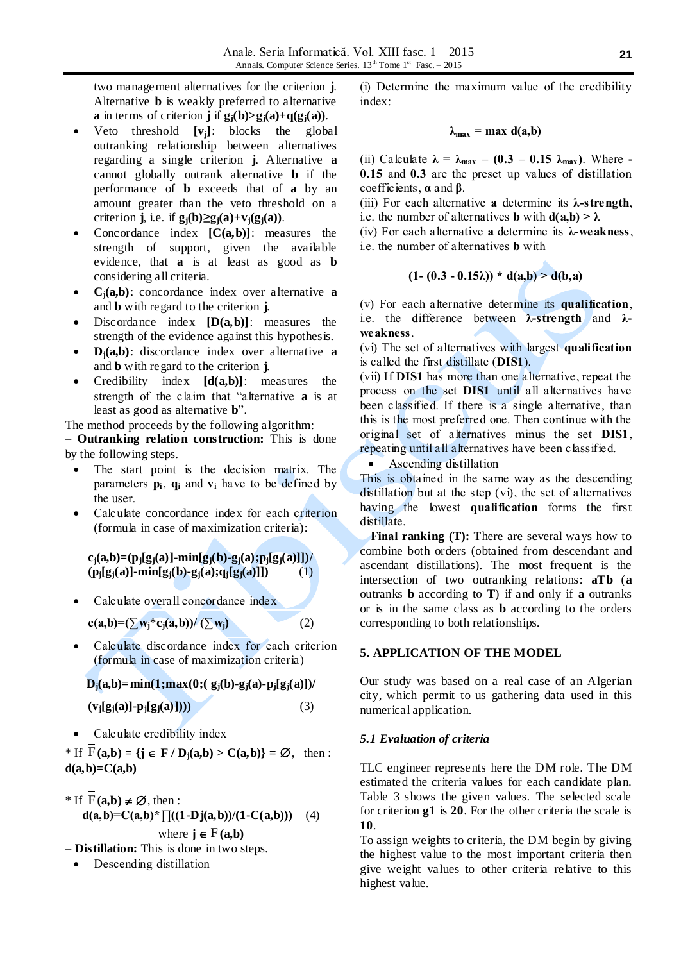two management alternatives for the criterion **j**. Alternative **b** is weakly preferred to alternative **a** in terms of criterion **j** if  $g_i(b) > g_i(a) + q(g_i(a))$ .

- Veto threshold **[vj]**: blocks the global outranking relationship between alternatives regarding a single criterion **j**. Alternative **a** cannot globally outrank alternative **b** if the performance of **b** exceeds that of **a** by an amount greater than the veto threshold on a criterion **j**, i.e. if  $g_i(b) \geq g_i(a) + v_i(g_i(a))$ .
- Concordance index **[C(a,b)]**: measures the strength of support, given the available evidence, that **a** is at least as good as **b** considering all criteria.
- **Cj(a,b)**: concordance index over alternative **a** and **b** with regard to the criterion **j**.
- Discordance index **[D(a,b)]**: measures the strength of the evidence against this hypothesis.
- **Dj(a,b)**: discordance index over alternative **a** and **b** with regard to the criterion **j**.
- Credibility index **[d(a,b)]**: measures the strength of the claim that "alternative **a** is at least as good as alternative **b**".

The method proceeds by the following algorithm:

– **Outranking relation construction:** This is done by the following steps.

- The start point is the decision matrix. The parameters  $\mathbf{p}_i$ ,  $\mathbf{q}_i$  and  $\mathbf{v}_i$  have to be defined by the user.
- Calculate concordance index for each criterion (formula in case of maximization criteria):

 $c_i(a,b)=(p_i[g_i(a)]-min[g_i(b)-g_i(a);p_i[g_i(a)]])/$  $(p_j[g_j(a)]$ -min $[g_j(b)$ -g<sub>j</sub> $(a);q_j[g_j(a)]$ ]) (1)

- Calculate overall concordance index  $c(a,b)=(\sum w_i^*c_i(a,b))/(\sum w_i)$  (2)
- Calculate discordance index for each criterion (formula in case of maximization criteria)

 $D_i(a,b) = min(1; max(0; (g_i(b)-g_i(a)-p_i[g_i(a)]))$ 

$$
(\mathbf{v}_j[g_j(a)]\text{-}\mathbf{p}_j[g_j(a)])))
$$
\n(3)

• Calculate credibility index

\* If  $F(a,b) = \{ j \in F / D_j(a,b) > C(a,b) \} = \emptyset$ , then :  $d(a,b)=C(a,b)$ 

\* If 
$$
\overline{F}(a,b) \neq \emptyset
$$
, then :  
\n $d(a,b)=C(a,b)^* \prod ((1-Dj(a,b))/(1-C(a,b)))$  (4)  
\nwhere  $j \in \overline{F}(a,b)$ 

- *–* **Distillation:** This is done in two steps.
	- Descending distillation

(i) Determine the maximum value of the credibility index:

$$
\lambda_{\max} = \max d(a,b)
$$

(ii) Calculate  $\lambda = \lambda_{\text{max}} - (0.3 - 0.15 \lambda_{\text{max}})$ . Where -**0.15** and **0.3** are the preset up values of distillation coefficients, **α** and **β**.

- (iii) For each alternative **a** determine its **λ-strength**, i.e. the number of alternatives **b** with  $d(a,b) > \lambda$
- (iv) For each alternative **a** determine its **λ-weakness**,
- i.e. the number of alternatives **b** with

$$
(1-(0.3-0.15\lambda)) * d(a,b) > d(b,a)
$$

 $\Delta\omega$ 

(v) For each alternative determine its **qualification**, i.e. the difference between **λ-strength** and **λweakness**.

(vi) The set of alternatives with largest **qualification** is called the first distillate (**DIS1**).

(vii) If **DIS1** has more than one alternative, repeat the process on the set **DIS1** until all alternatives have been classified. If there is a single alternative, than this is the most preferred one. Then continue with the original set of alternatives minus the set **DIS1**, repeating until all alternatives have been classified.

Ascending distillation

This is obtained in the same way as the descending distillation but at the step (vi), the set of alternatives having the lowest **qualification** forms the first distillate.

*–* **Final ranking (T):** There are several ways how to combine both orders (obtained from descendant and ascendant distillations). The most frequent is the intersection of two outranking relations: **aTb** (**a** outranks **b** according to **T**) if and only if **a** outranks or is in the same class as **b** according to the orders corresponding to both relationships.

# **5. APPLICATION OF THE MODEL**

Our study was based on a real case of an Algerian city, which permit to us gathering data used in this numerical application.

# *5.1 Evaluation of criteria*

TLC engineer represents here the DM role. The DM estimated the criteria values for each candidate plan. Table 3 shows the given values. The selected scale for criterion **g1** is **20**. For the other criteria the scale is **10**.

To assign weights to criteria, the DM begin by giving the highest value to the most important criteria then give weight values to other criteria relative to this highest value.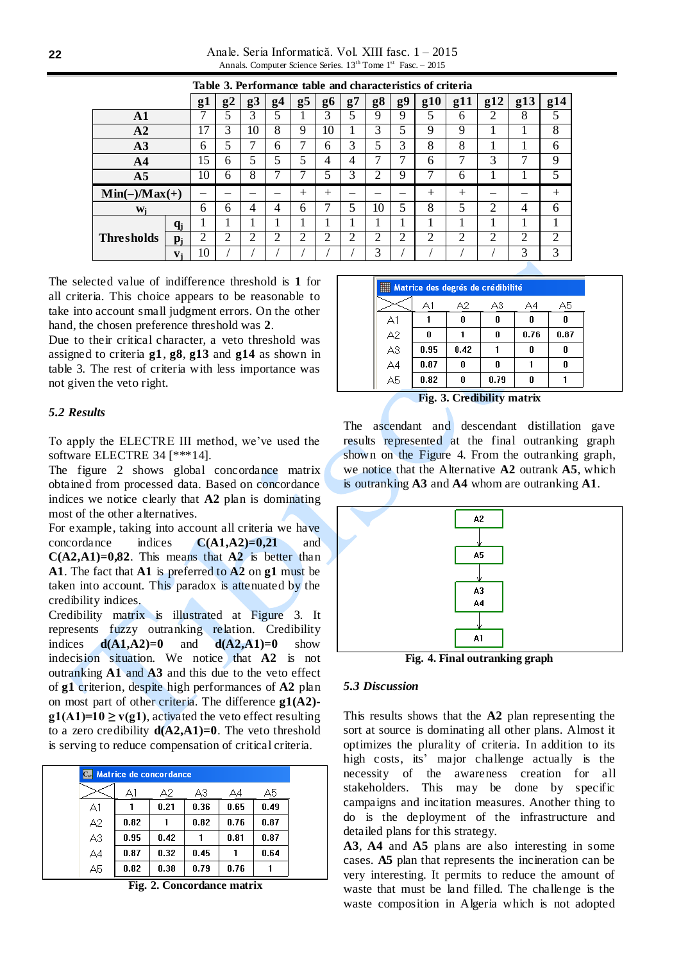Anale. Seria Informatică. Vol. XIII fasc. 1 – 2015 Annals. Computer Science Series.  $13<sup>th</sup>$  Tome  $1<sup>st</sup>$  Fasc. – 2015

|                   |       | raore oi i criomanice<br>uww<br><br>characteristics of criteria |    |                |                |                |                |    |    |    |                |                |     |                |     |
|-------------------|-------|-----------------------------------------------------------------|----|----------------|----------------|----------------|----------------|----|----|----|----------------|----------------|-----|----------------|-----|
|                   |       | g <sup>1</sup>                                                  | g2 | g3             | g4             | g5             | g6             | g7 | g8 | g9 | g10            | g11            | g12 | g13            | g14 |
| $\mathbf{A1}$     |       |                                                                 |    | 3              | 5              | T              | 3              | 5  | 9  | 9  | 5              | 6              | 2   | 8              | 5   |
| A2                |       | 17                                                              | 3  | 10             | 8              | 9              | 10             |    | 3  | 5  | 9              | 9              |     |                | 8   |
| A3                |       | 6                                                               | 5  | 7              | 6              | 7              | 6              | 3  | 5  | 3  | 8              | 8              |     |                | 6   |
| A <sub>4</sub>    |       | 15                                                              | 6  | 5              | 5              | 5              | 4              | 4  | 7  | 7  | 6              | 7              | 3   | $\mathbf{7}$   | 9   |
| A <sub>5</sub>    |       | 10                                                              | 6  | 8              | ⇁              | 7              | 5              | 3  | ◠  | 9  | 7              | 6              |     |                | 5   |
| $Min(-)/Max(+)$   |       | -                                                               | -  | _              |                | $^{+}$         | $^{+}$         | _  | -  |    | $^{+}$         | $^{+}$         |     |                | $+$ |
| Wi                |       | 6                                                               | 6  | 4              | $\overline{4}$ | 6              | 7              | 5  | 10 | 5  | 8              | 5              | 2   | 4              | 6   |
|                   | $q_i$ |                                                                 |    |                |                |                |                |    |    |    | 1              |                |     |                |     |
| <b>Thresholds</b> | $p_i$ | 2                                                               | 2  | $\overline{2}$ | $\overline{2}$ | $\overline{2}$ | $\mathfrak{2}$ | 2  | 2  | 2  | $\mathfrak{2}$ | $\overline{2}$ | 2   | $\overline{2}$ | 2   |
|                   | $V_i$ | 10                                                              |    |                |                |                |                |    | 3  |    |                |                |     | 3              | 3   |

**Table 3. Performance table and characteristics of criteria**

The selected value of indifference threshold is **1** for all criteria. This choice appears to be reasonable to take into account small judgment errors. On the other hand, the chosen preference threshold was **2**.

Due to their critical character, a veto threshold was assigned to criteria **g1**, **g8**, **g13** and **g14** as shown in table 3. The rest of criteria with less importance was not given the veto right.

### *5.2 Results*

To apply the ELECTRE III method, we've used the software ELECTRE 34 [\*\*\*14].

The figure 2 shows global concordance matrix obtained from processed data. Based on concordance indices we notice clearly that **A2** plan is dominating most of the other alternatives.

For example, taking into account all criteria we have concordance indices **C(A1,A2)=0,21** and **C(A2,A1)=0,82**. This means that **A2** is better than **A1**. The fact that **A1** is preferred to **A2** on **g1** must be taken into account. This paradox is attenuated by the credibility indices.

Credibility matrix is illustrated at Figure 3. It represents fuzzy outranking relation. Credibility indices  $d(A1, A2)=0$  and  $d(A2, A1)=0$  show indecision situation. We notice that **A2** is not outranking **A1** and **A3** and this due to the veto effect of **g1** criterion, despite high performances of **A2** plan on most part of other criteria. The difference **g1(A2)**  $g1(A1)=10 \ge v(g1)$ , activated the veto effect resulting to a zero credibility **d(A2,A1)=0**. The veto threshold is serving to reduce compensation of critical criteria.

|    | <b>E.</b> Matrice de concordance |      |      |      |      |
|----|----------------------------------|------|------|------|------|
|    | A1                               | A2.  | A3   | A4   | А5   |
| A1 |                                  | 0.21 | 0.36 | 0.65 | 0.49 |
| А2 | 0.82                             |      | 0.82 | 0.76 | 0.87 |
| A3 | 0.95                             | 0.42 |      | 0.81 | 0.87 |
| A4 | 0.87                             | 0.32 | 0.45 |      | 0.64 |
| А5 | 0.82                             | 0.38 | 0.79 | 0.76 |      |

**Fig. 2. Concordance matrix**

| Matrice des degrés de crédibilité                              |      |      |      |      |      |  |  |  |  |
|----------------------------------------------------------------|------|------|------|------|------|--|--|--|--|
|                                                                | Αl   | A2.  | A3   | A4   | А5   |  |  |  |  |
| Д1                                                             |      | 0    | 0    | 0    |      |  |  |  |  |
| $\begin{array}{c} \n \text{A2} \\ \n \text{A3} \n \end{array}$ | Λ    |      | 0    | 0.76 | 0.87 |  |  |  |  |
|                                                                | 0.95 | 0.42 |      | 0    |      |  |  |  |  |
| $\overline{A4}$                                                | 0.87 | 0    | N    |      | Л    |  |  |  |  |
| $\overline{AB}$                                                | 0.82 | 0    | 0.79 | n    |      |  |  |  |  |
|                                                                |      |      |      |      |      |  |  |  |  |

┻

**Fig. 3. Credibility matrix**

The ascendant and descendant distillation gave results represented at the final outranking graph shown on the Figure 4. From the outranking graph, we notice that the Alternative **A2** outrank **A5**, which is outranking **A3** and **A4** whom are outranking **A1**.



**Fig. 4. Final outranking graph**

#### *5.3 Discussion*

This results shows that the **A2** plan representing the sort at source is dominating all other plans. Almost it optimizes the plurality of criteria. In addition to its high costs, its' major challenge actually is the necessity of the awareness creation for all stakeholders. This may be done by specific campaigns and incitation measures. Another thing to do is the deployment of the infrastructure and detailed plans for this strategy.

**A3**, **A4** and **A5** plans are also interesting in some cases. **A5** plan that represents the incineration can be very interesting. It permits to reduce the amount of waste that must be land filled. The challenge is the waste composition in Algeria which is not adopted